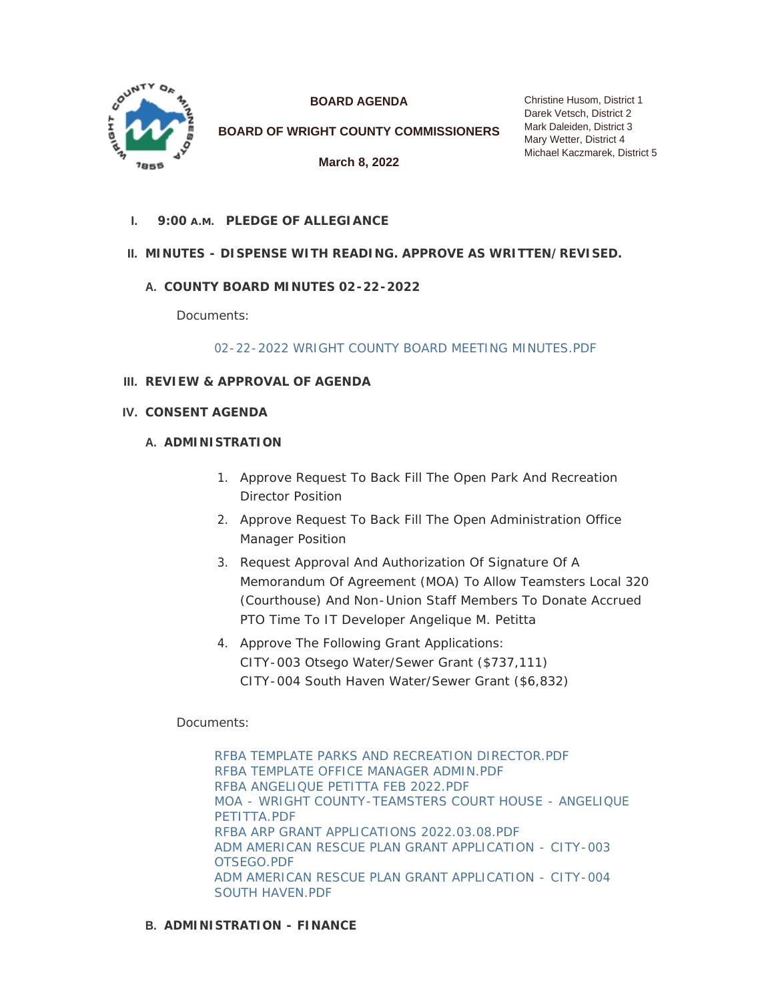

**BOARD AGENDA**

**BOARD OF WRIGHT COUNTY COMMISSIONERS**

**March 8, 2022**

**PLEDGE OF ALLEGIANCE I. 9:00 A.M.**

# **MINUTES - DISPENSE WITH READING. APPROVE AS WRITTEN/REVISED. II.**

# **COUNTY BOARD MINUTES 02-22-2022 A.**

Documents:

[02-22-2022 WRIGHT COUNTY BOARD MEETING MINUTES.PDF](https://www.co.wright.mn.us/AgendaCenter/ViewFile/Item/10405?fileID=22457)

- **REVIEW & APPROVAL OF AGENDA III.**
- **CONSENT AGENDA IV.**

#### **A. ADMINISTRATION**

- 1. Approve Request To Back Fill The Open Park And Recreation Director Position
- 2. Approve Request To Back Fill The Open Administration Office Manager Position
- 3. Request Approval And Authorization Of Signature Of A Memorandum Of Agreement (MOA) To Allow Teamsters Local 320 (Courthouse) And Non-Union Staff Members To Donate Accrued PTO Time To IT Developer Angelique M. Petitta
- 4. Approve The Following Grant Applications: CITY-003 Otsego Water/Sewer Grant (\$737,111) CITY-004 South Haven Water/Sewer Grant (\$6,832)

## Documents:

[RFBA TEMPLATE PARKS AND RECREATION DIRECTOR.PDF](https://www.co.wright.mn.us/AgendaCenter/ViewFile/Item/10399?fileID=22522) [RFBA TEMPLATE OFFICE MANAGER ADMIN.PDF](https://www.co.wright.mn.us/AgendaCenter/ViewFile/Item/10399?fileID=22521) [RFBA ANGELIQUE PETITTA FEB 2022.PDF](https://www.co.wright.mn.us/AgendaCenter/ViewFile/Item/10399?fileID=22296) [MOA - WRIGHT COUNTY-TEAMSTERS COURT HOUSE - ANGELIQUE](https://www.co.wright.mn.us/AgendaCenter/ViewFile/Item/10399?fileID=22297)  PETITTA.PDF [RFBA ARP GRANT APPLICATIONS 2022.03.08.PDF](https://www.co.wright.mn.us/AgendaCenter/ViewFile/Item/10399?fileID=22515) [ADM AMERICAN RESCUE PLAN GRANT APPLICATION - CITY-003](https://www.co.wright.mn.us/AgendaCenter/ViewFile/Item/10399?fileID=22516)  OTSEGO.PDF [ADM AMERICAN RESCUE PLAN GRANT APPLICATION - CITY-004](https://www.co.wright.mn.us/AgendaCenter/ViewFile/Item/10399?fileID=22517)  SOUTH HAVEN.PDF

### **ADMINISTRATION - FINANCE B.**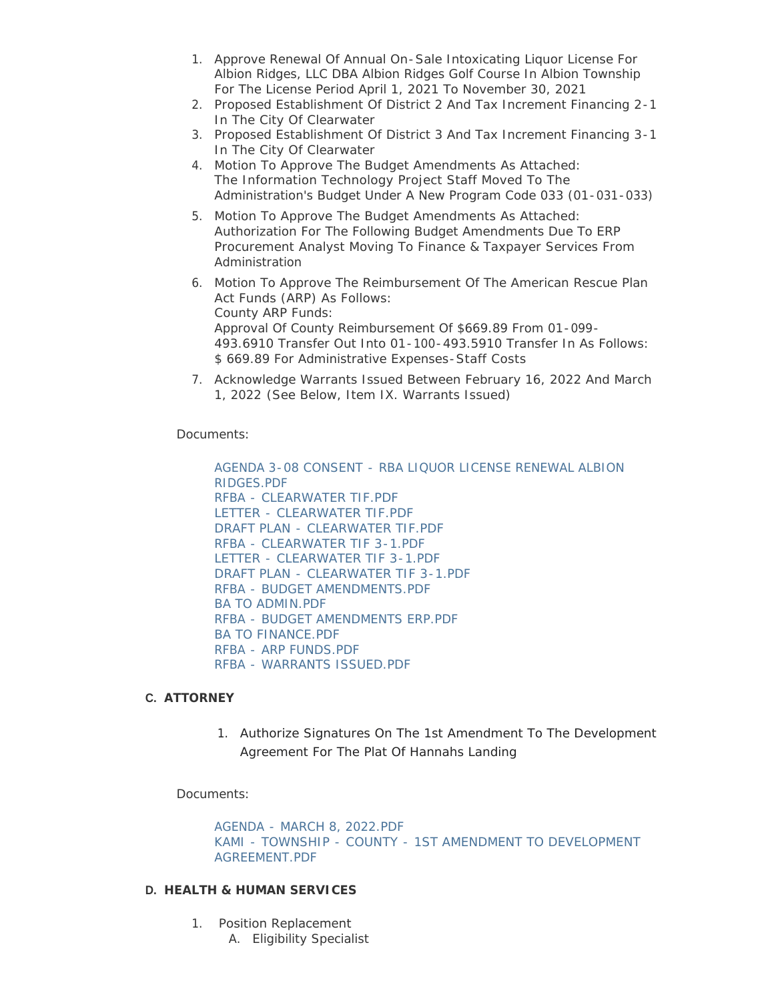- 1. Approve Renewal Of Annual On-Sale Intoxicating Liquor License For Albion Ridges, LLC DBA Albion Ridges Golf Course In Albion Township For The License Period April 1, 2021 To November 30, 2021
- 2. Proposed Establishment Of District 2 And Tax Increment Financing 2-1 In The City Of Clearwater
- 3. Proposed Establishment Of District 3 And Tax Increment Financing 3-1 In The City Of Clearwater
- 4. Motion To Approve The Budget Amendments As Attached: The Information Technology Project Staff Moved To The Administration's Budget Under A New Program Code 033 (01-031-033)
- 5. Motion To Approve The Budget Amendments As Attached: Authorization For The Following Budget Amendments Due To ERP Procurement Analyst Moving To Finance & Taxpayer Services From Administration
- 6. Motion To Approve The Reimbursement Of The American Rescue Plan Act Funds (ARP) As Follows: County ARP Funds: Approval Of County Reimbursement Of \$669.89 From 01-099- 493.6910 Transfer Out Into 01-100-493.5910 Transfer In As Follows: \$ 669.89 For Administrative Expenses-Staff Costs
- 7. Acknowledge Warrants Issued Between February 16, 2022 And March 1, 2022 *(See Below, Item IX. Warrants Issued)*

Documents:

[AGENDA 3-08 CONSENT - RBA LIQUOR LICENSE RENEWAL ALBION](https://www.co.wright.mn.us/AgendaCenter/ViewFile/Item/10396?fileID=22247)  RIDGES.PDF [RFBA - CLEARWATER TIF.PDF](https://www.co.wright.mn.us/AgendaCenter/ViewFile/Item/10396?fileID=22505) [LETTER - CLEARWATER TIF.PDF](https://www.co.wright.mn.us/AgendaCenter/ViewFile/Item/10396?fileID=22504) [DRAFT PLAN - CLEARWATER TIF.PDF](https://www.co.wright.mn.us/AgendaCenter/ViewFile/Item/10396?fileID=22503) [RFBA - CLEARWATER TIF 3-1.PDF](https://www.co.wright.mn.us/AgendaCenter/ViewFile/Item/10396?fileID=22508) [LETTER - CLEARWATER TIF 3-1.PDF](https://www.co.wright.mn.us/AgendaCenter/ViewFile/Item/10396?fileID=22506) [DRAFT PLAN - CLEARWATER TIF 3-1.PDF](https://www.co.wright.mn.us/AgendaCenter/ViewFile/Item/10396?fileID=22507) [RFBA - BUDGET AMENDMENTS.PDF](https://www.co.wright.mn.us/AgendaCenter/ViewFile/Item/10396?fileID=22510) [BA TO ADMIN.PDF](https://www.co.wright.mn.us/AgendaCenter/ViewFile/Item/10396?fileID=22509) [RFBA - BUDGET AMENDMENTS ERP.PDF](https://www.co.wright.mn.us/AgendaCenter/ViewFile/Item/10396?fileID=22512) [BA TO FINANCE.PDF](https://www.co.wright.mn.us/AgendaCenter/ViewFile/Item/10396?fileID=22511) [RFBA - ARP FUNDS.PDF](https://www.co.wright.mn.us/AgendaCenter/ViewFile/Item/10396?fileID=22513) [RFBA - WARRANTS ISSUED.PDF](https://www.co.wright.mn.us/AgendaCenter/ViewFile/Item/10396?fileID=22514)

## **ATTORNEY C.**

1. Authorize Signatures On The 1st Amendment To The Development Agreement For The Plat Of Hannahs Landing

Documents:

[AGENDA - MARCH 8, 2022.PDF](https://www.co.wright.mn.us/AgendaCenter/ViewFile/Item/10394?fileID=22243) [KAMI - TOWNSHIP - COUNTY - 1ST AMENDMENT TO DEVELOPMENT](https://www.co.wright.mn.us/AgendaCenter/ViewFile/Item/10394?fileID=22244)  AGREEMENT.PDF

#### **HEALTH & HUMAN SERVICES D.**

- 1. Position Replacement
	- A. Eligibility Specialist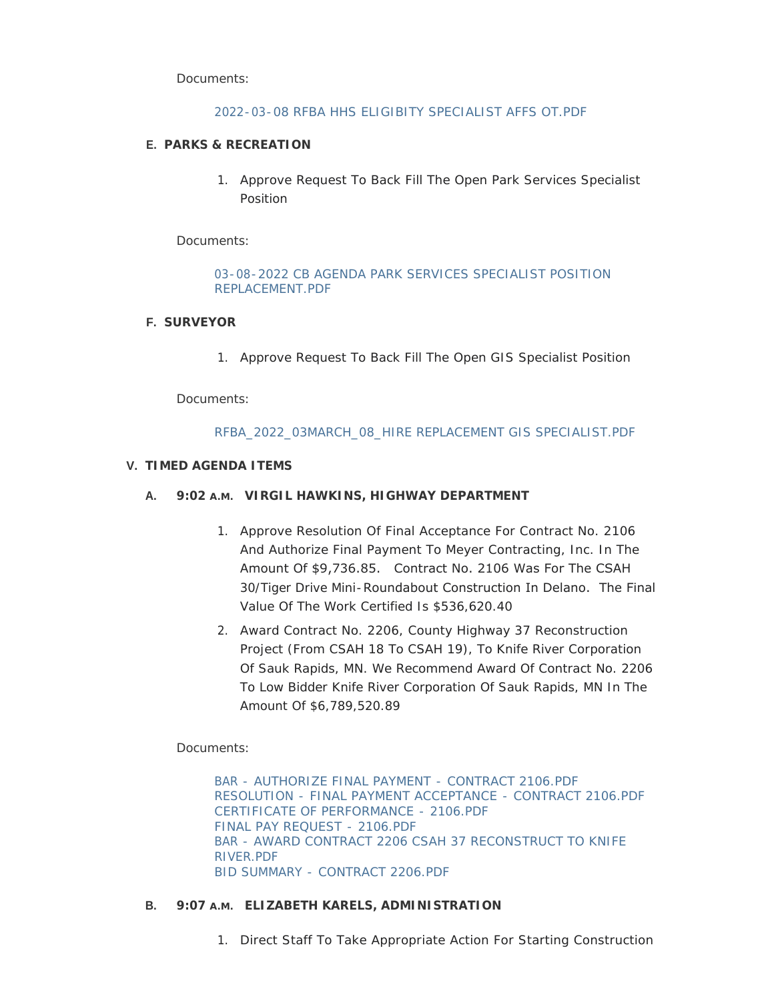Documents:

## [2022-03-08 RFBA HHS ELIGIBITY SPECIALIST AFFS OT.PDF](https://www.co.wright.mn.us/AgendaCenter/ViewFile/Item/10420?fileID=22500)

## **PARKS & RECREATION E.**

1. Approve Request To Back Fill The Open Park Services Specialist Position

Documents:

## [03-08-2022 CB AGENDA PARK SERVICES SPECIALIST POSITION](https://www.co.wright.mn.us/AgendaCenter/ViewFile/Item/10402?fileID=22386)  REPLACEMENT.PDF

### **SURVEYOR F.**

1. Approve Request To Back Fill The Open GIS Specialist Position

Documents:

## [RFBA\\_2022\\_03MARCH\\_08\\_HIRE REPLACEMENT GIS SPECIALIST.PDF](https://www.co.wright.mn.us/AgendaCenter/ViewFile/Item/10421?fileID=22501)

### **TIMED AGENDA ITEMS V.**

## **VIRGIL HAWKINS, HIGHWAY DEPARTMENT A. 9:02 A.M.**

- 1. Approve Resolution Of Final Acceptance For Contract No. 2106 And Authorize Final Payment To Meyer Contracting, Inc. In The Amount Of \$9,736.85. Contract No. 2106 Was For The CSAH 30/Tiger Drive Mini-Roundabout Construction In Delano. The Final Value Of The Work Certified Is \$536,620.40
- 2. Award Contract No. 2206, County Highway 37 Reconstruction Project (From CSAH 18 To CSAH 19), To Knife River Corporation Of Sauk Rapids, MN. We Recommend Award Of Contract No. 2206 To Low Bidder Knife River Corporation Of Sauk Rapids, MN In The Amount Of \$6,789,520.89

Documents:

[BAR - AUTHORIZE FINAL PAYMENT - CONTRACT 2106.PDF](https://www.co.wright.mn.us/AgendaCenter/ViewFile/Item/10419?fileID=22499) [RESOLUTION - FINAL PAYMENT ACCEPTANCE - CONTRACT 2106.PDF](https://www.co.wright.mn.us/AgendaCenter/ViewFile/Item/10419?fileID=22498) [CERTIFICATE OF PERFORMANCE - 2106.PDF](https://www.co.wright.mn.us/AgendaCenter/ViewFile/Item/10419?fileID=22496) [FINAL PAY REQUEST - 2106.PDF](https://www.co.wright.mn.us/AgendaCenter/ViewFile/Item/10419?fileID=22497) [BAR - AWARD CONTRACT 2206 CSAH 37 RECONSTRUCT TO KNIFE](https://www.co.wright.mn.us/AgendaCenter/ViewFile/Item/10419?fileID=22494)  RIVER.PDF [BID SUMMARY - CONTRACT 2206.PDF](https://www.co.wright.mn.us/AgendaCenter/ViewFile/Item/10419?fileID=22495)

#### **ELIZABETH KARELS, ADMINISTRATION B. 9:07 A.M.**

1. Direct Staff To Take Appropriate Action For Starting Construction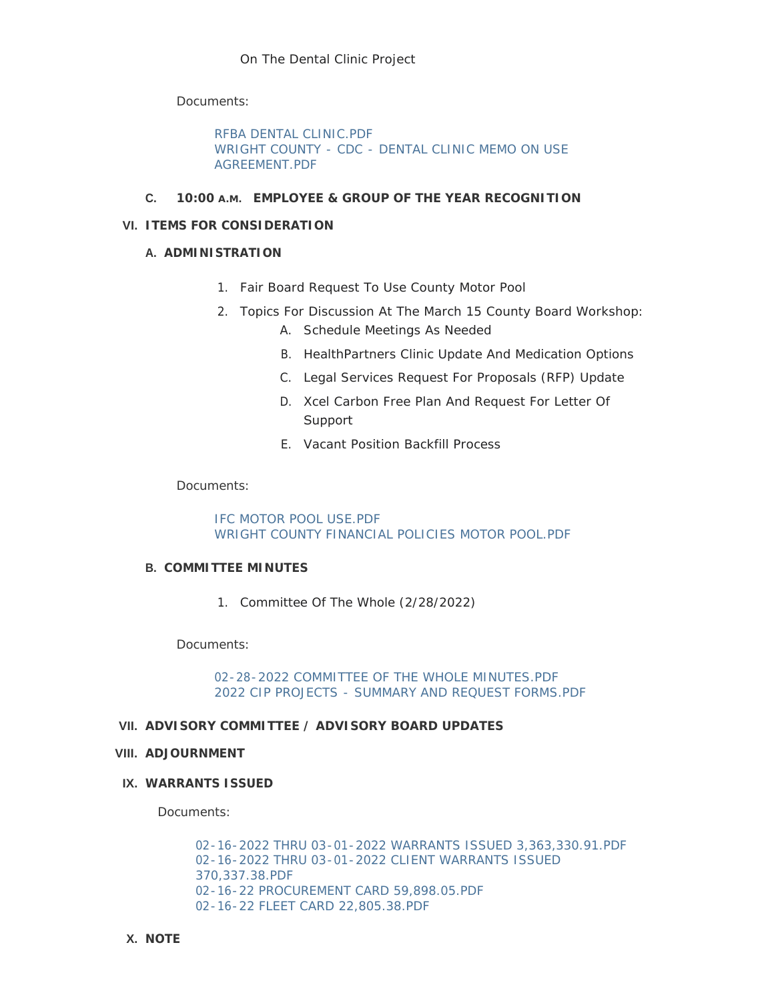Documents:

[RFBA DENTAL CLINIC.PDF](https://www.co.wright.mn.us/AgendaCenter/ViewFile/Item/10423?fileID=22523) [WRIGHT COUNTY - CDC - DENTAL CLINIC MEMO ON USE](https://www.co.wright.mn.us/AgendaCenter/ViewFile/Item/10423?fileID=22524)  AGREEMENT.PDF

### **C. 10:00 A.M.** EMPLOYEE & GROUP OF THE YEAR RECOGNITION

### **ITEMS FOR CONSIDERATION VI.**

### **A. ADMINISTRATION**

- 1. Fair Board Request To Use County Motor Pool
- 2. Topics For Discussion At The March 15 County Board Workshop:
	- A. Schedule Meetings As Needed
	- B. HealthPartners Clinic Update And Medication Options
	- C. Legal Services Request For Proposals (RFP) Update
	- D. Xcel Carbon Free Plan And Request For Letter Of Support
	- E. Vacant Position Backfill Process

#### Documents:

[IFC MOTOR POOL USE.PDF](https://www.co.wright.mn.us/AgendaCenter/ViewFile/Item/10424?fileID=22525) [WRIGHT COUNTY FINANCIAL POLICIES MOTOR POOL.PDF](https://www.co.wright.mn.us/AgendaCenter/ViewFile/Item/10424?fileID=22526)

#### **COMMITTEE MINUTES B.**

1. Committee Of The Whole (2/28/2022)

Documents:

[02-28-2022 COMMITTEE OF THE WHOLE MINUTES.PDF](https://www.co.wright.mn.us/AgendaCenter/ViewFile/Item/10422?fileID=22502) [2022 CIP PROJECTS - SUMMARY AND REQUEST FORMS.PDF](https://www.co.wright.mn.us/AgendaCenter/ViewFile/Item/10422?fileID=22518)

### **ADVISORY COMMITTEE / ADVISORY BOARD UPDATES VII.**

#### **ADJOURNMENT VIII.**

### **WARRANTS ISSUED IX.**

Documents:

[02-16-2022 THRU 03-01-2022 WARRANTS ISSUED 3,363,330.91.PDF](https://www.co.wright.mn.us/AgendaCenter/ViewFile/Item/10418?fileID=22489) [02-16-2022 THRU 03-01-2022 CLIENT WARRANTS ISSUED](https://www.co.wright.mn.us/AgendaCenter/ViewFile/Item/10418?fileID=22490)  370,337.38.PDF [02-16-22 PROCUREMENT CARD 59,898.05.PDF](https://www.co.wright.mn.us/AgendaCenter/ViewFile/Item/10418?fileID=22491) [02-16-22 FLEET CARD 22,805.38.PDF](https://www.co.wright.mn.us/AgendaCenter/ViewFile/Item/10418?fileID=22492)